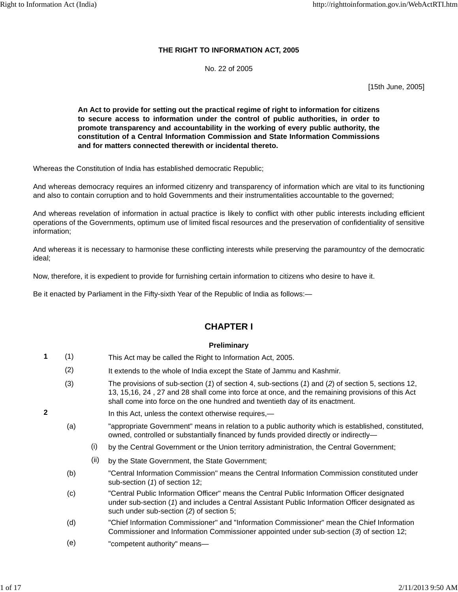#### **THE RIGHT TO INFORMATION ACT, 2005**

#### No. 22 of 2005

[15th June, 2005]

**An Act to provide for setting out the practical regime of right to information for citizens to secure access to information under the control of public authorities, in order to promote transparency and accountability in the working of every public authority, the constitution of a Central Information Commission and State Information Commissions and for matters connected therewith or incidental thereto.**

Whereas the Constitution of India has established democratic Republic;

And whereas democracy requires an informed citizenry and transparency of information which are vital to its functioning and also to contain corruption and to hold Governments and their instrumentalities accountable to the governed;

And whereas revelation of information in actual practice is likely to conflict with other public interests including efficient operations of the Governments, optimum use of limited fiscal resources and the preservation of confidentiality of sensitive information;

And whereas it is necessary to harmonise these conflicting interests while preserving the paramountcy of the democratic ideal;

Now, therefore, it is expedient to provide for furnishing certain information to citizens who desire to have it.

Be it enacted by Parliament in the Fifty-sixth Year of the Republic of India as follows:—

## **CHAPTER I**

#### **Preliminary**

- **1** (1) This Act may be called the Right to Information Act, 2005.
	- (2) It extends to the whole of India except the State of Jammu and Kashmir.
	- (3) The provisions of sub-section (*1*) of section 4, sub-sections (*1*) and (*2*) of section 5, sections 12, 13, 15,16, 24 , 27 and 28 shall come into force at once, and the remaining provisions of this Act shall come into force on the one hundred and twentieth day of its enactment.
- **2** In this Act, unless the context otherwise requires,—
	- (a) "appropriate Government" means in relation to a public authority which is established, constituted, owned, controlled or substantially financed by funds provided directly or indirectly—
		- (i) by the Central Government or the Union territory administration, the Central Government;
		- (ii) by the State Government, the State Government;
	- (b) "Central Information Commission" means the Central Information Commission constituted under sub-section (*1*) of section 12;
	- (c) "Central Public Information Officer" means the Central Public Information Officer designated under sub-section (*1*) and includes a Central Assistant Public Information Officer designated as such under sub-section (*2*) of section 5;
	- (d) "Chief Information Commissioner" and "Information Commissioner" mean the Chief Information Commissioner and Information Commissioner appointed under sub-section (*3*) of section 12;
	- (e) "competent authority" means—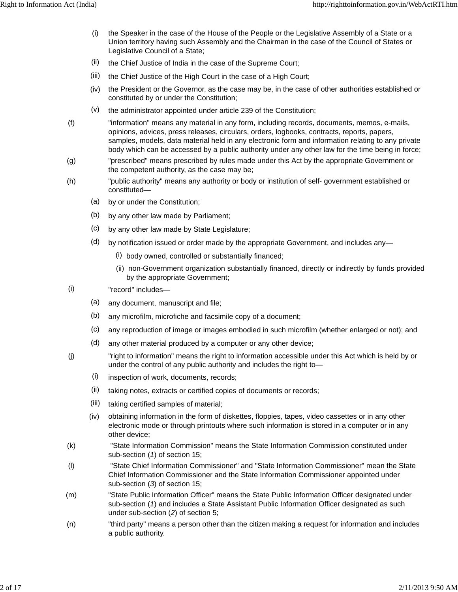- (i) the Speaker in the case of the House of the People or the Legislative Assembly of a State or a Union territory having such Assembly and the Chairman in the case of the Council of States or Legislative Council of a State;
- (ii) the Chief Justice of India in the case of the Supreme Court;
- (iii) the Chief Justice of the High Court in the case of a High Court;
- (iv) the President or the Governor, as the case may be, in the case of other authorities established or constituted by or under the Constitution;
- (v) the administrator appointed under article 239 of the Constitution;
- (f) "information" means any material in any form, including records, documents, memos, e-mails, opinions, advices, press releases, circulars, orders, logbooks, contracts, reports, papers, samples, models, data material held in any electronic form and information relating to any private body which can be accessed by a public authority under any other law for the time being in force;
- (g) "prescribed" means prescribed by rules made under this Act by the appropriate Government or the competent authority, as the case may be;
- (h) "public authority" means any authority or body or institution of self- government established or constituted—
	- (a) by or under the Constitution;
	- (b) by any other law made by Parliament;
	- (c) by any other law made by State Legislature;
	- (d) by notification issued or order made by the appropriate Government, and includes any—
		- (i) body owned, controlled or substantially financed;
		- (ii) non-Government organization substantially financed, directly or indirectly by funds provided by the appropriate Government;
- (i) "record" includes—
	- (a) any document, manuscript and file;
	- (b) any microfilm, microfiche and facsimile copy of a document;
	- (c) any reproduction of image or images embodied in such microfilm (whether enlarged or not); and
	- (d) any other material produced by a computer or any other device;
- (j) "right to information" means the right to information accessible under this Act which is held by or under the control of any public authority and includes the right to—
	- (i) inspection of work, documents, records;
	- (ii) taking notes, extracts or certified copies of documents or records;
	- (iii) taking certified samples of material;
	- (iv) obtaining information in the form of diskettes, floppies, tapes, video cassettes or in any other electronic mode or through printouts where such information is stored in a computer or in any other device;
- (k) "State Information Commission" means the State Information Commission constituted under sub-section (*1*) of section 15;
- (l) "State Chief Information Commissioner" and "State Information Commissioner" mean the State Chief Information Commissioner and the State Information Commissioner appointed under sub-section (*3*) of section 15;
- (m) "State Public Information Officer" means the State Public Information Officer designated under sub-section (*1*) and includes a State Assistant Public Information Officer designated as such under sub-section (*2*) of section 5;
- (n) "third party" means a person other than the citizen making a request for information and includes a public authority.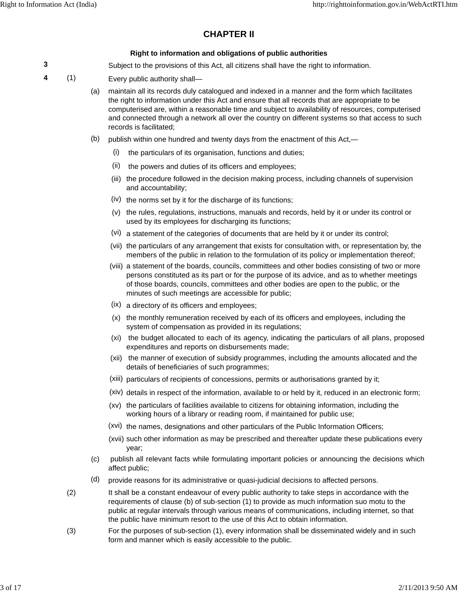# **CHAPTER II**

### **Right to information and obligations of public authorities**

- **3** Subject to the provisions of this Act, all citizens shall have the right to information.
- **4** (1) Every public authority shall—
	- (a) maintain all its records duly catalogued and indexed in a manner and the form which facilitates the right to information under this Act and ensure that all records that are appropriate to be computerised are, within a reasonable time and subject to availability of resources, computerised and connected through a network all over the country on different systems so that access to such records is facilitated;
	- (b) publish within one hundred and twenty days from the enactment of this Act,—
		- (i) the particulars of its organisation, functions and duties;
		- (ii) the powers and duties of its officers and employees;
		- (iii) the procedure followed in the decision making process, including channels of supervision and accountability;
		- (iv) the norms set by it for the discharge of its functions;
		- (v) the rules, regulations, instructions, manuals and records, held by it or under its control or used by its employees for discharging its functions;
		- (vi) a statement of the categories of documents that are held by it or under its control;
		- (vii) the particulars of any arrangement that exists for consultation with, or representation by, the members of the public in relation to the formulation of its policy or implementation thereof;
		- (viii) a statement of the boards, councils, committees and other bodies consisting of two or more persons constituted as its part or for the purpose of its advice, and as to whether meetings of those boards, councils, committees and other bodies are open to the public, or the minutes of such meetings are accessible for public;
		- (ix) a directory of its officers and employees;
		- (x) the monthly remuneration received by each of its officers and employees, including the system of compensation as provided in its regulations;
		- (xi) the budget allocated to each of its agency, indicating the particulars of all plans, proposed expenditures and reports on disbursements made;
		- (xii) the manner of execution of subsidy programmes, including the amounts allocated and the details of beneficiaries of such programmes;
		- (xiii) particulars of recipients of concessions, permits or authorisations granted by it;
		- (xiv) details in respect of the information, available to or held by it, reduced in an electronic form;
		- (xv) the particulars of facilities available to citizens for obtaining information, including the working hours of a library or reading room, if maintained for public use;
		- (xvi) the names, designations and other particulars of the Public Information Officers;
		- (xvii) such other information as may be prescribed and thereafter update these publications every year;
	- (c) publish all relevant facts while formulating important policies or announcing the decisions which affect public;
	- (d) provide reasons for its administrative or quasi-judicial decisions to affected persons.
	- (2) It shall be a constant endeavour of every public authority to take steps in accordance with the requirements of clause (b) of sub-section (1) to provide as much information suo motu to the public at regular intervals through various means of communications, including internet, so that the public have minimum resort to the use of this Act to obtain information.
	- (3) For the purposes of sub-section (1), every information shall be disseminated widely and in such form and manner which is easily accessible to the public.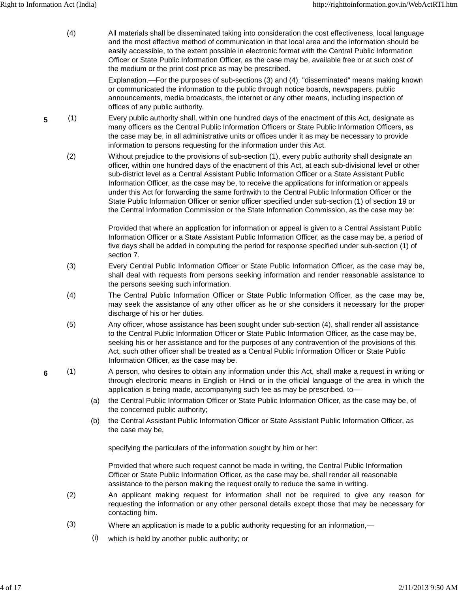(4) All materials shall be disseminated taking into consideration the cost effectiveness, local language and the most effective method of communication in that local area and the information should be easily accessible, to the extent possible in electronic format with the Central Public Information Officer or State Public Information Officer, as the case may be, available free or at such cost of the medium or the print cost price as may be prescribed.

> Explanation.—For the purposes of sub-sections (3) and (4), "disseminated" means making known or communicated the information to the public through notice boards, newspapers, public announcements, media broadcasts, the internet or any other means, including inspection of offices of any public authority.

- **5** (1) Every public authority shall, within one hundred days of the enactment of this Act, designate as many officers as the Central Public Information Officers or State Public Information Officers, as the case may be, in all administrative units or offices under it as may be necessary to provide information to persons requesting for the information under this Act.
	- (2) Without prejudice to the provisions of sub-section (1), every public authority shall designate an officer, within one hundred days of the enactment of this Act, at each sub-divisional level or other sub-district level as a Central Assistant Public Information Officer or a State Assistant Public Information Officer, as the case may be, to receive the applications for information or appeals under this Act for forwarding the same forthwith to the Central Public Information Officer or the State Public Information Officer or senior officer specified under sub-section (1) of section 19 or the Central Information Commission or the State Information Commission, as the case may be:

Provided that where an application for information or appeal is given to a Central Assistant Public Information Officer or a State Assistant Public Information Officer, as the case may be, a period of five days shall be added in computing the period for response specified under sub-section (1) of section 7.

- (3) Every Central Public Information Officer or State Public Information Officer, as the case may be, shall deal with requests from persons seeking information and render reasonable assistance to the persons seeking such information.
- (4) The Central Public Information Officer or State Public Information Officer, as the case may be, may seek the assistance of any other officer as he or she considers it necessary for the proper discharge of his or her duties.
- (5) Any officer, whose assistance has been sought under sub-section (4), shall render all assistance to the Central Public Information Officer or State Public Information Officer, as the case may be, seeking his or her assistance and for the purposes of any contravention of the provisions of this Act, such other officer shall be treated as a Central Public Information Officer or State Public Information Officer, as the case may be.
- **6** (1) A person, who desires to obtain any information under this Act, shall make a request in writing or through electronic means in English or Hindi or in the official language of the area in which the application is being made, accompanying such fee as may be prescribed, to—
	- (a) the Central Public Information Officer or State Public Information Officer, as the case may be, of the concerned public authority;
	- (b) the Central Assistant Public Information Officer or State Assistant Public Information Officer, as the case may be,

specifying the particulars of the information sought by him or her:

Provided that where such request cannot be made in writing, the Central Public Information Officer or State Public Information Officer, as the case may be, shall render all reasonable assistance to the person making the request orally to reduce the same in writing.

- (2) An applicant making request for information shall not be required to give any reason for requesting the information or any other personal details except those that may be necessary for contacting him.
- (3) Where an application is made to a public authority requesting for an information,—
	- (i) which is held by another public authority; or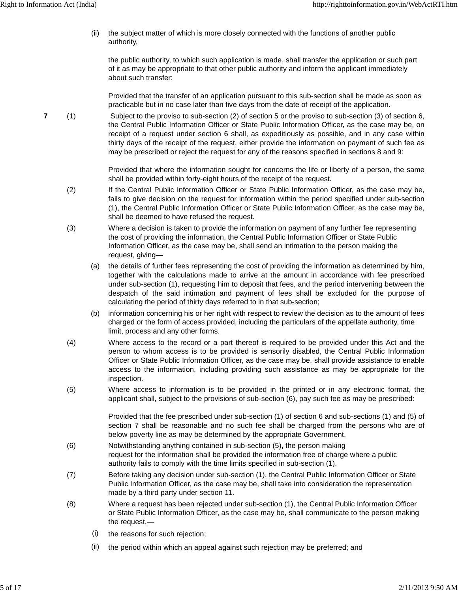(ii) the subject matter of which is more closely connected with the functions of another public authority,

the public authority, to which such application is made, shall transfer the application or such part of it as may be appropriate to that other public authority and inform the applicant immediately about such transfer:

Provided that the transfer of an application pursuant to this sub-section shall be made as soon as practicable but in no case later than five days from the date of receipt of the application.

**7** (1) Subject to the proviso to sub-section (2) of section 5 or the proviso to sub-section (3) of section 6, the Central Public Information Officer or State Public Information Officer, as the case may be, on receipt of a request under section 6 shall, as expeditiously as possible, and in any case within thirty days of the receipt of the request, either provide the information on payment of such fee as may be prescribed or reject the request for any of the reasons specified in sections 8 and 9:

> Provided that where the information sought for concerns the life or liberty of a person, the same shall be provided within forty-eight hours of the receipt of the request.

- (2) If the Central Public Information Officer or State Public Information Officer, as the case may be, fails to give decision on the request for information within the period specified under sub-section (1), the Central Public Information Officer or State Public Information Officer, as the case may be, shall be deemed to have refused the request.
- (3) Where a decision is taken to provide the information on payment of any further fee representing the cost of providing the information, the Central Public Information Officer or State Public Information Officer, as the case may be, shall send an intimation to the person making the request, giving—
	- (a) the details of further fees representing the cost of providing the information as determined by him, together with the calculations made to arrive at the amount in accordance with fee prescribed under sub-section (1), requesting him to deposit that fees, and the period intervening between the despatch of the said intimation and payment of fees shall be excluded for the purpose of calculating the period of thirty days referred to in that sub-section;
	- (b) information concerning his or her right with respect to review the decision as to the amount of fees charged or the form of access provided, including the particulars of the appellate authority, time limit, process and any other forms.
- (4) Where access to the record or a part thereof is required to be provided under this Act and the person to whom access is to be provided is sensorily disabled, the Central Public Information Officer or State Public Information Officer, as the case may be, shall provide assistance to enable access to the information, including providing such assistance as may be appropriate for the inspection.
- (5) Where access to information is to be provided in the printed or in any electronic format, the applicant shall, subject to the provisions of sub-section (6), pay such fee as may be prescribed:

Provided that the fee prescribed under sub-section (1) of section 6 and sub-sections (1) and (5) of section 7 shall be reasonable and no such fee shall be charged from the persons who are of below poverty line as may be determined by the appropriate Government.

- (6) Notwithstanding anything contained in sub-section (5), the person making request for the information shall be provided the information free of charge where a public authority fails to comply with the time limits specified in sub-section (1).
- (7) Before taking any decision under sub-section (1), the Central Public Information Officer or State Public Information Officer, as the case may be, shall take into consideration the representation made by a third party under section 11.
- (8) Where a request has been rejected under sub-section (1), the Central Public Information Officer or State Public Information Officer, as the case may be, shall communicate to the person making the request,—
	- (i) the reasons for such rejection;
	- (ii) the period within which an appeal against such rejection may be preferred; and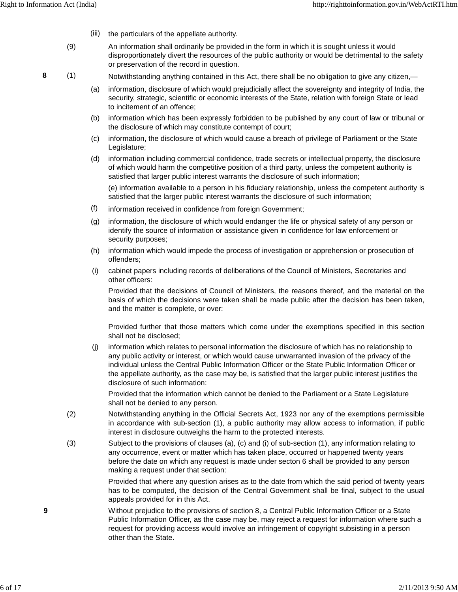- (iii) the particulars of the appellate authority.
- (9) An information shall ordinarily be provided in the form in which it is sought unless it would disproportionately divert the resources of the public authority or would be detrimental to the safety or preservation of the record in question.

- **8** (1) Notwithstanding anything contained in this Act, there shall be no obligation to give any citizen,—
	- (a) information, disclosure of which would prejudicially affect the sovereignty and integrity of India, the security, strategic, scientific or economic interests of the State, relation with foreign State or lead to incitement of an offence;
	- (b) information which has been expressly forbidden to be published by any court of law or tribunal or the disclosure of which may constitute contempt of court;
	- (c) information, the disclosure of which would cause a breach of privilege of Parliament or the State Legislature;
	- (d) information including commercial confidence, trade secrets or intellectual property, the disclosure of which would harm the competitive position of a third party, unless the competent authority is satisfied that larger public interest warrants the disclosure of such information;

 (e) information available to a person in his fiduciary relationship, unless the competent authority is satisfied that the larger public interest warrants the disclosure of such information;

- (f) information received in confidence from foreign Government;
- (g) information, the disclosure of which would endanger the life or physical safety of any person or identify the source of information or assistance given in confidence for law enforcement or security purposes;
- (h) information which would impede the process of investigation or apprehension or prosecution of offenders;
- (i) cabinet papers including records of deliberations of the Council of Ministers, Secretaries and other officers:

 Provided that the decisions of Council of Ministers, the reasons thereof, and the material on the basis of which the decisions were taken shall be made public after the decision has been taken, and the matter is complete, or over:

Provided further that those matters which come under the exemptions specified in this section shall not be disclosed;

 (j) information which relates to personal information the disclosure of which has no relationship to any public activity or interest, or which would cause unwarranted invasion of the privacy of the individual unless the Central Public Information Officer or the State Public Information Officer or the appellate authority, as the case may be, is satisfied that the larger public interest justifies the disclosure of such information:

 Provided that the information which cannot be denied to the Parliament or a State Legislature shall not be denied to any person.

- (2) Notwithstanding anything in the Official Secrets Act, 1923 nor any of the exemptions permissible in accordance with sub-section (1), a public authority may allow access to information, if public interest in disclosure outweighs the harm to the protected interests.
- (3) Subject to the provisions of clauses (a), (c) and (i) of sub-section (1), any information relating to any occurrence, event or matter which has taken place, occurred or happened twenty years before the date on which any request is made under secton 6 shall be provided to any person making a request under that section:

 Provided that where any question arises as to the date from which the said period of twenty years has to be computed, the decision of the Central Government shall be final, subject to the usual appeals provided for in this Act.

**9** Without prejudice to the provisions of section 8, a Central Public Information Officer or a State Public Information Officer, as the case may be, may reject a request for information where such a request for providing access would involve an infringement of copyright subsisting in a person other than the State.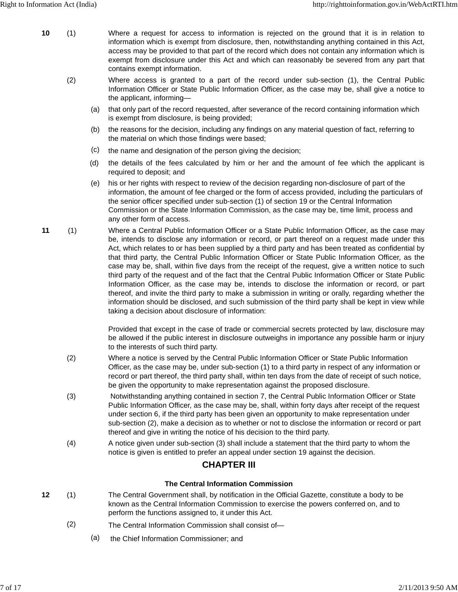- **10** (1) Where a request for access to information is rejected on the ground that it is in relation to information which is exempt from disclosure, then, notwithstanding anything contained in this Act, access may be provided to that part of the record which does not contain any information which is exempt from disclosure under this Act and which can reasonably be severed from any part that contains exempt information.
	- (2) Where access is granted to a part of the record under sub-section (1), the Central Public Information Officer or State Public Information Officer, as the case may be, shall give a notice to the applicant, informing—
		- (a) that only part of the record requested, after severance of the record containing information which is exempt from disclosure, is being provided;
		- (b) the reasons for the decision, including any findings on any material question of fact, referring to the material on which those findings were based;
		- (c) the name and designation of the person giving the decision;
		- (d) the details of the fees calculated by him or her and the amount of fee which the applicant is required to deposit; and
		- (e) his or her rights with respect to review of the decision regarding non-disclosure of part of the information, the amount of fee charged or the form of access provided, including the particulars of the senior officer specified under sub-section (1) of section 19 or the Central Information Commission or the State Information Commission, as the case may be, time limit, process and any other form of access.
- **11** (1) Where a Central Public Information Officer or a State Public Information Officer, as the case may be, intends to disclose any information or record, or part thereof on a request made under this Act, which relates to or has been supplied by a third party and has been treated as confidential by that third party, the Central Public Information Officer or State Public Information Officer, as the case may be, shall, within five days from the receipt of the request, give a written notice to such third party of the request and of the fact that the Central Public Information Officer or State Public Information Officer, as the case may be, intends to disclose the information or record, or part thereof, and invite the third party to make a submission in writing or orally, regarding whether the information should be disclosed, and such submission of the third party shall be kept in view while taking a decision about disclosure of information:

Provided that except in the case of trade or commercial secrets protected by law, disclosure may be allowed if the public interest in disclosure outweighs in importance any possible harm or injury to the interests of such third party.

- (2) Where a notice is served by the Central Public Information Officer or State Public Information Officer, as the case may be, under sub-section (1) to a third party in respect of any information or record or part thereof, the third party shall, within ten days from the date of receipt of such notice, be given the opportunity to make representation against the proposed disclosure.
- (3) Notwithstanding anything contained in section 7, the Central Public Information Officer or State Public Information Officer, as the case may be, shall, within forty days after receipt of the request under section 6, if the third party has been given an opportunity to make representation under sub-section (2), make a decision as to whether or not to disclose the information or record or part thereof and give in writing the notice of his decision to the third party.
- (4) A notice given under sub-section (3) shall include a statement that the third party to whom the notice is given is entitled to prefer an appeal under section 19 against the decision.

## **CHAPTER III**

### **The Central Information Commission**

- **12** (1) The Central Government shall, by notification in the Official Gazette, constitute a body to be known as the Central Information Commission to exercise the powers conferred on, and to perform the functions assigned to, it under this Act.
	- (2) The Central Information Commission shall consist of—
		- (a) the Chief Information Commissioner; and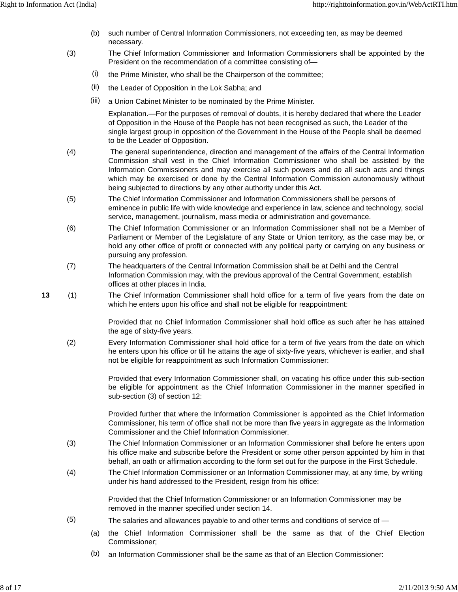- (b) such number of Central Information Commissioners, not exceeding ten, as may be deemed necessary.
- (3) The Chief Information Commissioner and Information Commissioners shall be appointed by the President on the recommendation of a committee consisting of—
	- (i) the Prime Minister, who shall be the Chairperson of the committee;
	- (ii) the Leader of Opposition in the Lok Sabha; and
	- (iii) a Union Cabinet Minister to be nominated by the Prime Minister.

 Explanation.—For the purposes of removal of doubts, it is hereby declared that where the Leader of Opposition in the House of the People has not been recognised as such, the Leader of the single largest group in opposition of the Government in the House of the People shall be deemed to be the Leader of Opposition.

- (4) The general superintendence, direction and management of the affairs of the Central Information Commission shall vest in the Chief Information Commissioner who shall be assisted by the Information Commissioners and may exercise all such powers and do all such acts and things which may be exercised or done by the Central Information Commission autonomously without being subjected to directions by any other authority under this Act.
- (5) The Chief Information Commissioner and Information Commissioners shall be persons of eminence in public life with wide knowledge and experience in law, science and technology, social service, management, journalism, mass media or administration and governance.
- (6) The Chief Information Commissioner or an Information Commissioner shall not be a Member of Parliament or Member of the Legislature of any State or Union territory, as the case may be, or hold any other office of profit or connected with any political party or carrying on any business or pursuing any profession.
- (7) The headquarters of the Central Information Commission shall be at Delhi and the Central Information Commission may, with the previous approval of the Central Government, establish offices at other places in India.
- **13** (1) The Chief Information Commissioner shall hold office for a term of five years from the date on which he enters upon his office and shall not be eligible for reappointment:

Provided that no Chief Information Commissioner shall hold office as such after he has attained the age of sixty-five years.

(2) Every Information Commissioner shall hold office for a term of five years from the date on which he enters upon his office or till he attains the age of sixty-five years, whichever is earlier, and shall not be eligible for reappointment as such Information Commissioner:

> Provided that every Information Commissioner shall, on vacating his office under this sub-section be eligible for appointment as the Chief Information Commissioner in the manner specified in sub-section (3) of section 12:

> Provided further that where the Information Commissioner is appointed as the Chief Information Commissioner, his term of office shall not be more than five years in aggregate as the Information Commissioner and the Chief Information Commissioner.

- (3) The Chief Information Commissioner or an Information Commissioner shall before he enters upon his office make and subscribe before the President or some other person appointed by him in that behalf, an oath or affirmation according to the form set out for the purpose in the First Schedule.
- (4) The Chief Information Commissioner or an Information Commissioner may, at any time, by writing under his hand addressed to the President, resign from his office:

Provided that the Chief Information Commissioner or an Information Commissioner may be removed in the manner specified under section 14.

- (5) The salaries and allowances payable to and other terms and conditions of service of
	- (a) the Chief Information Commissioner shall be the same as that of the Chief Election Commissioner;
	- (b) an Information Commissioner shall be the same as that of an Election Commissioner: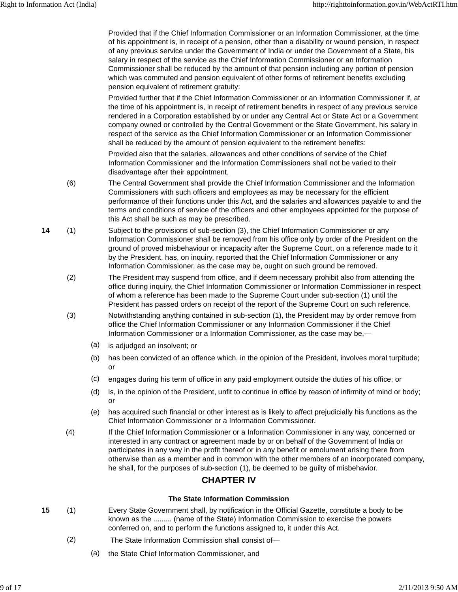Provided that if the Chief Information Commissioner or an Information Commissioner, at the time of his appointment is, in receipt of a pension, other than a disability or wound pension, in respect of any previous service under the Government of India or under the Government of a State, his salary in respect of the service as the Chief Information Commissioner or an Information Commissioner shall be reduced by the amount of that pension including any portion of pension which was commuted and pension equivalent of other forms of retirement benefits excluding pension equivalent of retirement gratuity:

 Provided further that if the Chief Information Commissioner or an Information Commissioner if, at the time of his appointment is, in receipt of retirement benefits in respect of any previous service rendered in a Corporation established by or under any Central Act or State Act or a Government company owned or controlled by the Central Government or the State Government, his salary in respect of the service as the Chief Information Commissioner or an Information Commissioner shall be reduced by the amount of pension equivalent to the retirement benefits:

 Provided also that the salaries, allowances and other conditions of service of the Chief Information Commissioner and the Information Commissioners shall not be varied to their disadvantage after their appointment.

- (6) The Central Government shall provide the Chief Information Commissioner and the Information Commissioners with such officers and employees as may be necessary for the efficient performance of their functions under this Act, and the salaries and allowances payable to and the terms and conditions of service of the officers and other employees appointed for the purpose of this Act shall be such as may be prescribed.
- **14** (1) Subject to the provisions of sub-section (3), the Chief Information Commissioner or any Information Commissioner shall be removed from his office only by order of the President on the ground of proved misbehaviour or incapacity after the Supreme Court, on a reference made to it by the President, has, on inquiry, reported that the Chief Information Commissioner or any Information Commissioner, as the case may be, ought on such ground be removed.
	- (2) The President may suspend from office, and if deem necessary prohibit also from attending the office during inquiry, the Chief Information Commissioner or Information Commissioner in respect of whom a reference has been made to the Supreme Court under sub-section (1) until the President has passed orders on receipt of the report of the Supreme Court on such reference.
	- (3) Notwithstanding anything contained in sub-section (1), the President may by order remove from office the Chief Information Commissioner or any Information Commissioner if the Chief Information Commissioner or a Information Commissioner, as the case may be,—
		- (a) is adjudged an insolvent; or
		- (b) has been convicted of an offence which, in the opinion of the President, involves moral turpitude; or
		- (c) engages during his term of office in any paid employment outside the duties of his office; or
		- (d) is, in the opinion of the President, unfit to continue in office by reason of infirmity of mind or body; or
		- (e) has acquired such financial or other interest as is likely to affect prejudicially his functions as the Chief Information Commissioner or a Information Commissioner.
	- (4) If the Chief Information Commissioner or a Information Commissioner in any way, concerned or interested in any contract or agreement made by or on behalf of the Government of India or participates in any way in the profit thereof or in any benefit or emolument arising there from otherwise than as a member and in common with the other members of an incorporated company, he shall, for the purposes of sub-section (1), be deemed to be guilty of misbehavior.

# **CHAPTER IV**

### **The State Information Commission**

- **15** (1) Every State Government shall, by notification in the Official Gazette, constitute a body to be known as the ......... (name of the State) Information Commission to exercise the powers conferred on, and to perform the functions assigned to, it under this Act.
	- (2) The State Information Commission shall consist of—
		- (a) the State Chief Information Commissioner, and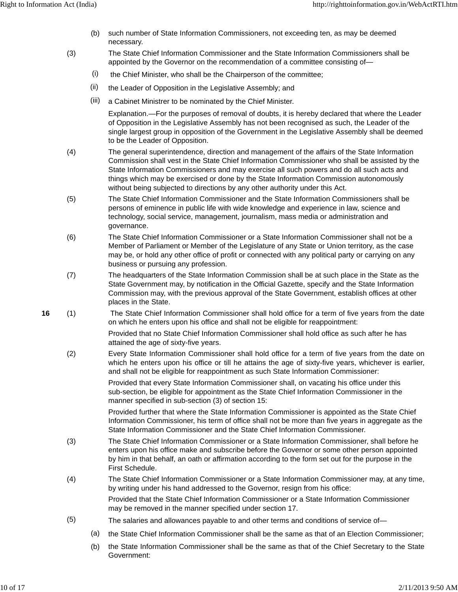- (b) such number of State Information Commissioners, not exceeding ten, as may be deemed necessary.
- (3) The State Chief Information Commissioner and the State Information Commissioners shall be appointed by the Governor on the recommendation of a committee consisting of—
	- (i) the Chief Minister, who shall be the Chairperson of the committee;
	- (ii) the Leader of Opposition in the Legislative Assembly; and
	- (iii) a Cabinet Ministrer to be nominated by the Chief Minister.

 Explanation.—For the purposes of removal of doubts, it is hereby declared that where the Leader of Opposition in the Legislative Assembly has not been recognised as such, the Leader of the single largest group in opposition of the Government in the Legislative Assembly shall be deemed to be the Leader of Opposition.

- (4) The general superintendence, direction and management of the affairs of the State Information Commission shall vest in the State Chief Information Commissioner who shall be assisted by the State Information Commissioners and may exercise all such powers and do all such acts and things which may be exercised or done by the State Information Commission autonomously without being subjected to directions by any other authority under this Act.
- (5) The State Chief Information Commissioner and the State Information Commissioners shall be persons of eminence in public life with wide knowledge and experience in law, science and technology, social service, management, journalism, mass media or administration and governance.
- (6) The State Chief Information Commissioner or a State Information Commissioner shall not be a Member of Parliament or Member of the Legislature of any State or Union territory, as the case may be, or hold any other office of profit or connected with any political party or carrying on any business or pursuing any profession.
- (7) The headquarters of the State Information Commission shall be at such place in the State as the State Government may, by notification in the Official Gazette, specify and the State Information Commission may, with the previous approval of the State Government, establish offices at other places in the State.
- **16** (1) The State Chief Information Commissioner shall hold office for a term of five years from the date on which he enters upon his office and shall not be eligible for reappointment:

 Provided that no State Chief Information Commissioner shall hold office as such after he has attained the age of sixty-five years.

(2) Every State Information Commissioner shall hold office for a term of five years from the date on which he enters upon his office or till he attains the age of sixty-five years, whichever is earlier, and shall not be eligible for reappointment as such State Information Commissioner:

> Provided that every State Information Commissioner shall, on vacating his office under this sub-section, be eligible for appointment as the State Chief Information Commissioner in the manner specified in sub-section (3) of section 15:

 Provided further that where the State Information Commissioner is appointed as the State Chief Information Commissioner, his term of office shall not be more than five years in aggregate as the State Information Commissioner and the State Chief Information Commissioner.

- (3) The State Chief Information Commissioner or a State Information Commissioner, shall before he enters upon his office make and subscribe before the Governor or some other person appointed by him in that behalf, an oath or affirmation according to the form set out for the purpose in the First Schedule.
- (4) The State Chief Information Commissioner or a State Information Commissioner may, at any time, by writing under his hand addressed to the Governor, resign from his office:

 Provided that the State Chief Information Commissioner or a State Information Commissioner may be removed in the manner specified under section 17.

- (5) The salaries and allowances payable to and other terms and conditions of service of—
	- (a) the State Chief Information Commissioner shall be the same as that of an Election Commissioner;
	- (b) the State Information Commissioner shall be the same as that of the Chief Secretary to the State Government: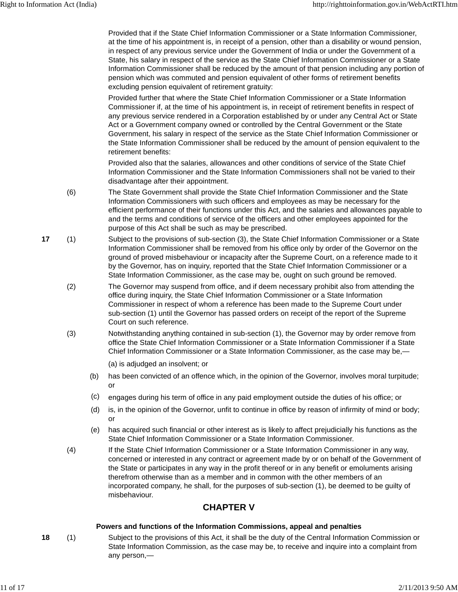Provided that if the State Chief Information Commissioner or a State Information Commissioner, at the time of his appointment is, in receipt of a pension, other than a disability or wound pension, in respect of any previous service under the Government of India or under the Government of a State, his salary in respect of the service as the State Chief Information Commissioner or a State Information Commissioner shall be reduced by the amount of that pension including any portion of pension which was commuted and pension equivalent of other forms of retirement benefits excluding pension equivalent of retirement gratuity:

 Provided further that where the State Chief Information Commissioner or a State Information Commissioner if, at the time of his appointment is, in receipt of retirement benefits in respect of any previous service rendered in a Corporation established by or under any Central Act or State Act or a Government company owned or controlled by the Central Government or the State Government, his salary in respect of the service as the State Chief Information Commissioner or the State Information Commissioner shall be reduced by the amount of pension equivalent to the retirement benefits:

 Provided also that the salaries, allowances and other conditions of service of the State Chief Information Commissioner and the State Information Commissioners shall not be varied to their disadvantage after their appointment.

- (6) The State Government shall provide the State Chief Information Commissioner and the State Information Commissioners with such officers and employees as may be necessary for the efficient performance of their functions under this Act, and the salaries and allowances payable to and the terms and conditions of service of the officers and other employees appointed for the purpose of this Act shall be such as may be prescribed.
- **17** (1) Subject to the provisions of sub-section (3), the State Chief Information Commissioner or a State Information Commissioner shall be removed from his office only by order of the Governor on the ground of proved misbehaviour or incapacity after the Supreme Court, on a reference made to it by the Governor, has on inquiry, reported that the State Chief Information Commissioner or a State Information Commissioner, as the case may be, ought on such ground be removed.
	- (2) The Governor may suspend from office, and if deem necessary prohibit also from attending the office during inquiry, the State Chief Information Commissioner or a State Information Commissioner in respect of whom a reference has been made to the Supreme Court under sub-section (1) until the Governor has passed orders on receipt of the report of the Supreme Court on such reference.
	- (3) Notwithstanding anything contained in sub-section (1), the Governor may by order remove from office the State Chief Information Commissioner or a State Information Commissioner if a State Chief Information Commissioner or a State Information Commissioner, as the case may be,—

(a) is adjudged an insolvent; or

- (b) has been convicted of an offence which, in the opinion of the Governor, involves moral turpitude; or
- (c) engages during his term of office in any paid employment outside the duties of his office; or
- (d) is, in the opinion of the Governor, unfit to continue in office by reason of infirmity of mind or body; or
- (e) has acquired such financial or other interest as is likely to affect prejudicially his functions as the State Chief Information Commissioner or a State Information Commissioner.
- (4) If the State Chief Information Commissioner or a State Information Commissioner in any way, concerned or interested in any contract or agreement made by or on behalf of the Government of the State or participates in any way in the profit thereof or in any benefit or emoluments arising therefrom otherwise than as a member and in common with the other members of an incorporated company, he shall, for the purposes of sub-section (1), be deemed to be guilty of misbehaviour.

# **CHAPTER V**

#### **Powers and functions of the Information Commissions, appeal and penalties**

**18** (1) Subject to the provisions of this Act, it shall be the duty of the Central Information Commission or State Information Commission, as the case may be, to receive and inquire into a complaint from any person,—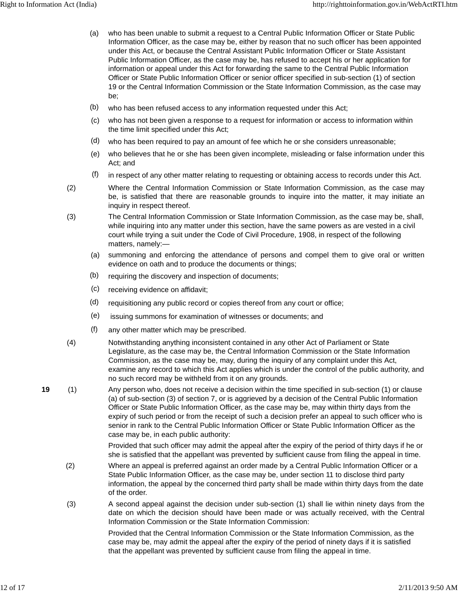- (a) who has been unable to submit a request to a Central Public Information Officer or State Public Information Officer, as the case may be, either by reason that no such officer has been appointed under this Act, or because the Central Assistant Public Information Officer or State Assistant Public Information Officer, as the case may be, has refused to accept his or her application for information or appeal under this Act for forwarding the same to the Central Public Information Officer or State Public Information Officer or senior officer specified in sub-section (1) of section 19 or the Central Information Commission or the State Information Commission, as the case may be;
- (b) who has been refused access to any information requested under this Act;
- (c) who has not been given a response to a request for information or access to information within the time limit specified under this Act;
- (d) who has been required to pay an amount of fee which he or she considers unreasonable;
- (e) who believes that he or she has been given incomplete, misleading or false information under this Act; and
- (f) in respect of any other matter relating to requesting or obtaining access to records under this Act.
- (2) Where the Central Information Commission or State Information Commission, as the case may be, is satisfied that there are reasonable grounds to inquire into the matter, it may initiate an inquiry in respect thereof.
- (3) The Central Information Commission or State Information Commission, as the case may be, shall, while inquiring into any matter under this section, have the same powers as are vested in a civil court while trying a suit under the Code of Civil Procedure, 1908, in respect of the following matters, namely:—
	- (a) summoning and enforcing the attendance of persons and compel them to give oral or written evidence on oath and to produce the documents or things;
	- (b) requiring the discovery and inspection of documents;
	- (c) receiving evidence on affidavit;
	- (d) requisitioning any public record or copies thereof from any court or office;
	- (e) issuing summons for examination of witnesses or documents; and
	- (f) any other matter which may be prescribed.
- (4) Notwithstanding anything inconsistent contained in any other Act of Parliament or State Legislature, as the case may be, the Central Information Commission or the State Information Commission, as the case may be, may, during the inquiry of any complaint under this Act, examine any record to which this Act applies which is under the control of the public authority, and no such record may be withheld from it on any grounds.
- **19** (1) Any person who, does not receive a decision within the time specified in sub-section (1) or clause (a) of sub-section (3) of section 7, or is aggrieved by a decision of the Central Public Information Officer or State Public Information Officer, as the case may be, may within thirty days from the expiry of such period or from the receipt of such a decision prefer an appeal to such officer who is senior in rank to the Central Public Information Officer or State Public Information Officer as the case may be, in each public authority:

 Provided that such officer may admit the appeal after the expiry of the period of thirty days if he or she is satisfied that the appellant was prevented by sufficient cause from filing the appeal in time.

- (2) Where an appeal is preferred against an order made by a Central Public Information Officer or a State Public Information Officer, as the case may be, under section 11 to disclose third party information, the appeal by the concerned third party shall be made within thirty days from the date of the order.
- (3) A second appeal against the decision under sub-section (1) shall lie within ninety days from the date on which the decision should have been made or was actually received, with the Central Information Commission or the State Information Commission:

 Provided that the Central Information Commission or the State Information Commission, as the case may be, may admit the appeal after the expiry of the period of ninety days if it is satisfied that the appellant was prevented by sufficient cause from filing the appeal in time.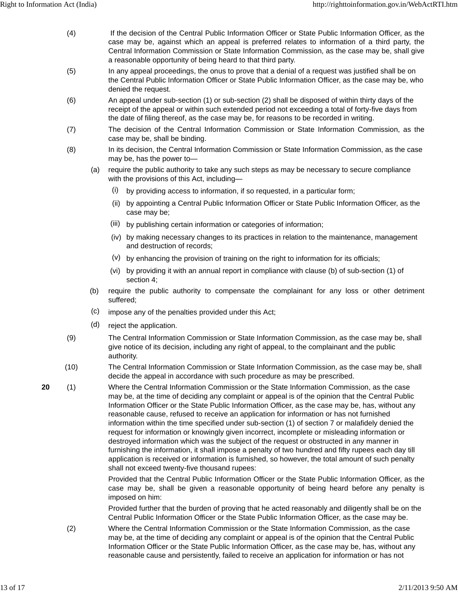- (4) If the decision of the Central Public Information Officer or State Public Information Officer, as the case may be, against which an appeal is preferred relates to information of a third party, the Central Information Commission or State Information Commission, as the case may be, shall give a reasonable opportunity of being heard to that third party.
- (5) In any appeal proceedings, the onus to prove that a denial of a request was justified shall be on the Central Public Information Officer or State Public Information Officer, as the case may be, who denied the request.
- (6) An appeal under sub-section (1) or sub-section (2) shall be disposed of within thirty days of the receipt of the appeal or within such extended period not exceeding a total of forty-five days from the date of filing thereof, as the case may be, for reasons to be recorded in writing.
- (7) The decision of the Central Information Commission or State Information Commission, as the case may be, shall be binding.
- (8) In its decision, the Central Information Commission or State Information Commission, as the case may be, has the power to—
	- (a) require the public authority to take any such steps as may be necessary to secure compliance with the provisions of this Act, including—
		- $(i)$  by providing access to information, if so requested, in a particular form;
		- (ii) by appointing a Central Public Information Officer or State Public Information Officer, as the case may be;
		- (iii) by publishing certain information or categories of information;
		- (iv) by making necessary changes to its practices in relation to the maintenance, management and destruction of records;
		- (v) by enhancing the provision of training on the right to information for its officials;
		- (vi) by providing it with an annual report in compliance with clause (b) of sub-section (1) of section 4;
	- (b) require the public authority to compensate the complainant for any loss or other detriment suffered;
	- (c) impose any of the penalties provided under this Act;
	- (d) reject the application.
- (9) The Central Information Commission or State Information Commission, as the case may be, shall give notice of its decision, including any right of appeal, to the complainant and the public authority.
- (10) The Central Information Commission or State Information Commission, as the case may be, shall decide the appeal in accordance with such procedure as may be prescribed.
- **20** (1) Where the Central Information Commission or the State Information Commission, as the case may be, at the time of deciding any complaint or appeal is of the opinion that the Central Public Information Officer or the State Public Information Officer, as the case may be, has, without any reasonable cause, refused to receive an application for information or has not furnished information within the time specified under sub-section (1) of section 7 or malafidely denied the request for information or knowingly given incorrect, incomplete or misleading information or destroyed information which was the subject of the request or obstructed in any manner in furnishing the information, it shall impose a penalty of two hundred and fifty rupees each day till application is received or information is furnished, so however, the total amount of such penalty shall not exceed twenty-five thousand rupees:

 Provided that the Central Public Information Officer or the State Public Information Officer, as the case may be, shall be given a reasonable opportunity of being heard before any penalty is imposed on him:

 Provided further that the burden of proving that he acted reasonably and diligently shall be on the Central Public Information Officer or the State Public Information Officer, as the case may be.

(2) Where the Central Information Commission or the State Information Commission, as the case may be, at the time of deciding any complaint or appeal is of the opinion that the Central Public Information Officer or the State Public Information Officer, as the case may be, has, without any reasonable cause and persistently, failed to receive an application for information or has not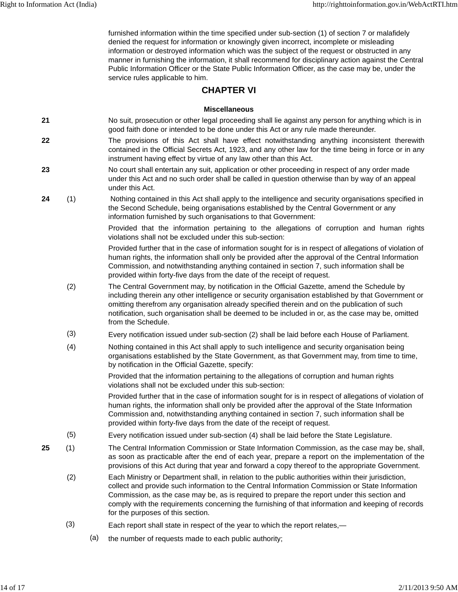furnished information within the time specified under sub-section (1) of section 7 or malafidely denied the request for information or knowingly given incorrect, incomplete or misleading information or destroyed information which was the subject of the request or obstructed in any manner in furnishing the information, it shall recommend for disciplinary action against the Central Public Information Officer or the State Public Information Officer, as the case may be, under the service rules applicable to him.

## **CHAPTER VI**

### **Miscellaneous**

- **21** No suit, prosecution or other legal proceeding shall lie against any person for anything which is in good faith done or intended to be done under this Act or any rule made thereunder.
- **22** The provisions of this Act shall have effect notwithstanding anything inconsistent therewith contained in the Official Secrets Act, 1923, and any other law for the time being in force or in any instrument having effect by virtue of any law other than this Act.
- **23** No court shall entertain any suit, application or other proceeding in respect of any order made under this Act and no such order shall be called in question otherwise than by way of an appeal under this Act.
- **24** (1) Nothing contained in this Act shall apply to the intelligence and security organisations specified in the Second Schedule, being organisations established by the Central Government or any information furnished by such organisations to that Government:

 Provided that the information pertaining to the allegations of corruption and human rights violations shall not be excluded under this sub-section:

 Provided further that in the case of information sought for is in respect of allegations of violation of human rights, the information shall only be provided after the approval of the Central Information Commission, and notwithstanding anything contained in section 7, such information shall be provided within forty-five days from the date of the receipt of request.

- (2) The Central Government may, by notification in the Official Gazette, amend the Schedule by including therein any other intelligence or security organisation established by that Government or omitting therefrom any organisation already specified therein and on the publication of such notification, such organisation shall be deemed to be included in or, as the case may be, omitted from the Schedule.
- (3) Every notification issued under sub-section (2) shall be laid before each House of Parliament.
- (4) Nothing contained in this Act shall apply to such intelligence and security organisation being organisations established by the State Government, as that Government may, from time to time, by notification in the Official Gazette, specify:

 Provided that the information pertaining to the allegations of corruption and human rights violations shall not be excluded under this sub-section:

 Provided further that in the case of information sought for is in respect of allegations of violation of human rights, the information shall only be provided after the approval of the State Information Commission and, notwithstanding anything contained in section 7, such information shall be provided within forty-five days from the date of the receipt of request.

- (5) Every notification issued under sub-section (4) shall be laid before the State Legislature.
- **25** (1) The Central Information Commission or State Information Commission, as the case may be, shall, as soon as practicable after the end of each year, prepare a report on the implementation of the provisions of this Act during that year and forward a copy thereof to the appropriate Government.
	- (2) Each Ministry or Department shall, in relation to the public authorities within their jurisdiction, collect and provide such information to the Central Information Commission or State Information Commission, as the case may be, as is required to prepare the report under this section and comply with the requirements concerning the furnishing of that information and keeping of records for the purposes of this section.
	- (3) Each report shall state in respect of the year to which the report relates,—
		- (a) the number of requests made to each public authority;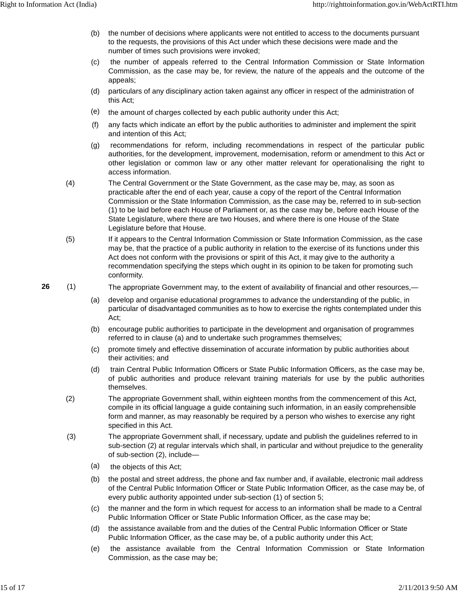- (b) the number of decisions where applicants were not entitled to access to the documents pursuant to the requests, the provisions of this Act under which these decisions were made and the number of times such provisions were invoked;
- (c) the number of appeals referred to the Central Information Commission or State Information Commission, as the case may be, for review, the nature of the appeals and the outcome of the appeals;
- (d) particulars of any disciplinary action taken against any officer in respect of the administration of this Act;
- (e) the amount of charges collected by each public authority under this Act;
- (f) any facts which indicate an effort by the public authorities to administer and implement the spirit and intention of this Act;
- (g) recommendations for reform, including recommendations in respect of the particular public authorities, for the development, improvement, modernisation, reform or amendment to this Act or other legislation or common law or any other matter relevant for operationalising the right to access information.
- (4) The Central Government or the State Government, as the case may be, may, as soon as practicable after the end of each year, cause a copy of the report of the Central Information Commission or the State Information Commission, as the case may be, referred to in sub-section (1) to be laid before each House of Parliament or, as the case may be, before each House of the State Legislature, where there are two Houses, and where there is one House of the State Legislature before that House.
- (5) If it appears to the Central Information Commission or State Information Commission, as the case may be, that the practice of a public authority in relation to the exercise of its functions under this Act does not conform with the provisions or spirit of this Act, it may give to the authority a recommendation specifying the steps which ought in its opinion to be taken for promoting such conformity.
- 26 (1) The appropriate Government may, to the extent of availability of financial and other resources,—
	- (a) develop and organise educational programmes to advance the understanding of the public, in particular of disadvantaged communities as to how to exercise the rights contemplated under this Act;
	- (b) encourage public authorities to participate in the development and organisation of programmes referred to in clause (a) and to undertake such programmes themselves;
	- (c) promote timely and effective dissemination of accurate information by public authorities about their activities; and
	- (d) train Central Public Information Officers or State Public Information Officers, as the case may be, of public authorities and produce relevant training materials for use by the public authorities themselves.
	- (2) The appropriate Government shall, within eighteen months from the commencement of this Act, compile in its official language a guide containing such information, in an easily comprehensible form and manner, as may reasonably be required by a person who wishes to exercise any right specified in this Act.
	- (3) The appropriate Government shall, if necessary, update and publish the guidelines referred to in sub-section (2) at regular intervals which shall, in particular and without prejudice to the generality of sub-section (2), include—
		- (a) the objects of this Act;
		- (b) the postal and street address, the phone and fax number and, if available, electronic mail address of the Central Public Information Officer or State Public Information Officer, as the case may be, of every public authority appointed under sub-section (1) of section 5;
		- (c) the manner and the form in which request for access to an information shall be made to a Central Public Information Officer or State Public Information Officer, as the case may be;
		- (d) the assistance available from and the duties of the Central Public Information Officer or State Public Information Officer, as the case may be, of a public authority under this Act;
		- (e) the assistance available from the Central Information Commission or State Information Commission, as the case may be;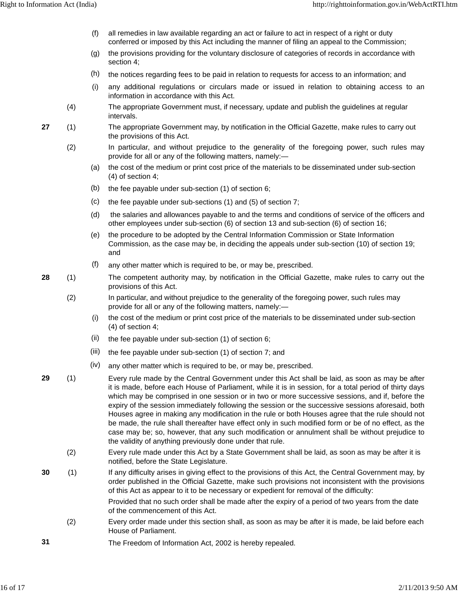- (f) all remedies in law available regarding an act or failure to act in respect of a right or duty conferred or imposed by this Act including the manner of filing an appeal to the Commission;
- (g) the provisions providing for the voluntary disclosure of categories of records in accordance with section 4;
- (h) the notices regarding fees to be paid in relation to requests for access to an information; and
- (i) any additional regulations or circulars made or issued in relation to obtaining access to an information in accordance with this Act.
- (4) The appropriate Government must, if necessary, update and publish the guidelines at regular intervals.
- **27** (1) The appropriate Government may, by notification in the Official Gazette, make rules to carry out the provisions of this Act.
	- (2) In particular, and without prejudice to the generality of the foregoing power, such rules may provide for all or any of the following matters, namely:—
		- (a) the cost of the medium or print cost price of the materials to be disseminated under sub-section (4) of section 4;
		- (b) the fee payable under sub-section (1) of section 6;
		- $(c)$  the fee payable under sub-sections (1) and (5) of section 7;
		- (d) the salaries and allowances payable to and the terms and conditions of service of the officers and other employees under sub-section (6) of section 13 and sub-section (6) of section 16;
		- (e) the procedure to be adopted by the Central Information Commission or State Information Commission, as the case may be, in deciding the appeals under sub-section (10) of section 19; and
		- (f) any other matter which is required to be, or may be, prescribed.
- **28** (1) The competent authority may, by notification in the Official Gazette, make rules to carry out the provisions of this Act.
	- (2) In particular, and without prejudice to the generality of the foregoing power, such rules may provide for all or any of the following matters, namely:—
		- (i) the cost of the medium or print cost price of the materials to be disseminated under sub-section (4) of section 4;
		- $(ii)$  the fee payable under sub-section (1) of section 6;
		- (iii) the fee payable under sub-section (1) of section 7; and
		- (iv) any other matter which is required to be, or may be, prescribed.
- **29** (1) Every rule made by the Central Government under this Act shall be laid, as soon as may be after it is made, before each House of Parliament, while it is in session, for a total period of thirty days which may be comprised in one session or in two or more successive sessions, and if, before the expiry of the session immediately following the session or the successive sessions aforesaid, both Houses agree in making any modification in the rule or both Houses agree that the rule should not be made, the rule shall thereafter have effect only in such modified form or be of no effect, as the case may be; so, however, that any such modification or annulment shall be without prejudice to the validity of anything previously done under that rule.
	- (2) Every rule made under this Act by a State Government shall be laid, as soon as may be after it is notified, before the State Legislature.
- **30** (1) If any difficulty arises in giving effect to the provisions of this Act, the Central Government may, by order published in the Official Gazette, make such provisions not inconsistent with the provisions of this Act as appear to it to be necessary or expedient for removal of the difficulty:

 Provided that no such order shall be made after the expiry of a period of two years from the date of the commencement of this Act.

- (2) Every order made under this section shall, as soon as may be after it is made, be laid before each House of Parliament.
- **31** The Freedom of Information Act, 2002 is hereby repealed.